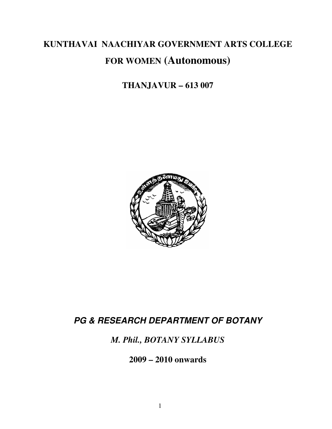# **KUNTHAVAI NAACHIYAR GOVERNMENT ARTS COLLEGE FOR WOMEN (Autonomous)**

## **THANJAVUR – 613 007**



## **PG & RESEARCH DEPARTMENT OF BOTANY**

*M. Phil., BOTANY SYLLABUS* 

**2009 – 2010 onwards**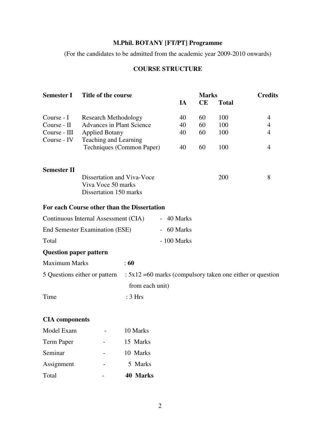## **M.Phil. BOTANY [FT/PT] Programme**

(For the candidates to be admitted from the academic year 2009-2010 onwards)

### **COURSE STRUCTURE**

| <b>Semester I</b>             | Title of the course                         |                                                              |  | <b>Marks</b> |           |              | <b>Credits</b> |  |
|-------------------------------|---------------------------------------------|--------------------------------------------------------------|--|--------------|-----------|--------------|----------------|--|
|                               |                                             |                                                              |  | IA           | <b>CE</b> | <b>Total</b> |                |  |
| Course - I                    | <b>Research Methodology</b>                 |                                                              |  | 40           | 60        | 100          | 4              |  |
| Course - II                   | <b>Advances in Plant Science</b>            |                                                              |  | 40           | 60        | 100          | $\overline{4}$ |  |
| Course - III                  |                                             | <b>Applied Botany</b>                                        |  |              | 60        | 100          | $\overline{4}$ |  |
| Course - IV                   | Teaching and Learning                       |                                                              |  |              |           |              |                |  |
|                               | Techniques (Common Paper)                   |                                                              |  | 40           | 60        | 100          | $\overline{4}$ |  |
|                               |                                             |                                                              |  |              |           |              |                |  |
| <b>Semester II</b>            |                                             |                                                              |  |              |           |              |                |  |
| Dissertation and Viva-Voce    |                                             |                                                              |  |              |           | 200          | 8              |  |
|                               | Viva Voce 50 marks                          |                                                              |  |              |           |              |                |  |
|                               | Dissertation 150 marks                      |                                                              |  |              |           |              |                |  |
|                               | For each Course other than the Dissertation |                                                              |  |              |           |              |                |  |
|                               | Continuous Internal Assessment (CIA)        |                                                              |  | - 40 Marks   |           |              |                |  |
|                               | End Semester Examination (ESE)              |                                                              |  | - 60 Marks   |           |              |                |  |
| Total                         |                                             |                                                              |  | - 100 Marks  |           |              |                |  |
| <b>Question paper pattern</b> |                                             |                                                              |  |              |           |              |                |  |
| <b>Maximum Marks</b>          |                                             | $\div 60$                                                    |  |              |           |              |                |  |
| 5 Questions either or pattern |                                             | $: 5x12 = 60$ marks (compulsory taken one either or question |  |              |           |              |                |  |
|                               |                                             | from each unit)                                              |  |              |           |              |                |  |
| Time                          |                                             | : 3 Hrs                                                      |  |              |           |              |                |  |
|                               |                                             |                                                              |  |              |           |              |                |  |
| <b>CIA</b> components         |                                             |                                                              |  |              |           |              |                |  |
| Model Exam                    |                                             | 10 Marks                                                     |  |              |           |              |                |  |
| <b>Term Paper</b>             |                                             | 15 Marks                                                     |  |              |           |              |                |  |
| Seminar                       |                                             | 10 Marks                                                     |  |              |           |              |                |  |
| Assignment                    |                                             | 5 Marks                                                      |  |              |           |              |                |  |
| Total                         |                                             | 40 Marks                                                     |  |              |           |              |                |  |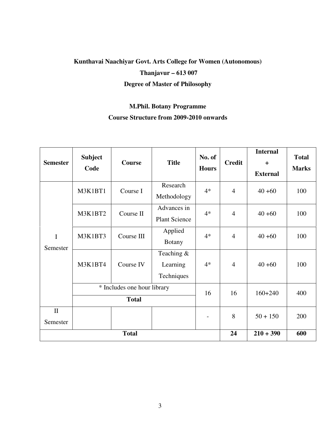## **Kunthavai Naachiyar Govt. Arts College for Women (Autonomous) Thanjavur – 613 007 Degree of Master of Philosophy**

### **M.Phil. Botany Programme**

### **Course Structure from 2009-2010 onwards**

| <b>Semester</b>          | <b>Subject</b><br>Code | <b>Course</b>                               | <b>Title</b>                           | No. of<br><b>Hours</b>   | <b>Credit</b>  | <b>Internal</b><br>$+$<br><b>External</b> | <b>Total</b><br><b>Marks</b> |
|--------------------------|------------------------|---------------------------------------------|----------------------------------------|--------------------------|----------------|-------------------------------------------|------------------------------|
| I<br>Semester            | M3K1BT1                | Course I                                    | Research<br>Methodology                | $4*$                     | $\overline{4}$ | $40 + 60$                                 | 100                          |
|                          | M3K1BT2                | Course II                                   | Advances in<br><b>Plant Science</b>    | $4*$                     | $\overline{4}$ | $40 + 60$                                 | 100                          |
|                          | M3K1BT3                | Course III                                  | Applied<br><b>Botany</b>               | $4*$                     | $\overline{4}$ | $40 + 60$                                 | 100                          |
|                          | M3K1BT4                | Course IV                                   | Teaching $&$<br>Learning<br>Techniques | $4*$                     | $\overline{4}$ | $40 + 60$                                 | 100                          |
|                          |                        | * Includes one hour library<br><b>Total</b> |                                        | 16                       | 16             | $160+240$                                 | 400                          |
| $\mathbf{I}$<br>Semester |                        |                                             |                                        | $\overline{\phantom{a}}$ | 8              | $50 + 150$                                | 200                          |
|                          |                        | 24                                          | $210 + 390$                            | 600                      |                |                                           |                              |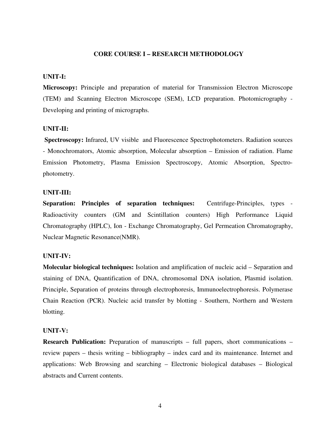#### **CORE COURSE I – RESEARCH METHODOLOGY**

#### **UNIT-I:**

**Microscopy:** Principle and preparation of material for Transmission Electron Microscope (TEM) and Scanning Electron Microscope (SEM), LCD preparation. Photomicrography - Developing and printing of micrographs.

#### **UNIT-II:**

 **Spectroscopy:** Infrared, UV visible and Fluorescence Spectrophotometers. Radiation sources - Monochromators, Atomic absorption, Molecular absorption – Emission of radiation. Flame Emission Photometry, Plasma Emission Spectroscopy, Atomic Absorption, Spectrophotometry.

#### **UNIT-III:**

**Separation: Principles of separation techniques:** Centrifuge-Principles, types - Radioactivity counters (GM and Scintillation counters) High Performance Liquid Chromatography (HPLC), Ion - Exchange Chromatography, Gel Permeation Chromatography, Nuclear Magnetic Resonance(NMR).

#### **UNIT-IV:**

**Molecular biological techniques:** Isolation and amplification of nucleic acid – Separation and staining of DNA, Quantification of DNA, chromosomal DNA isolation, Plasmid isolation. Principle, Separation of proteins through electrophoresis, Immunoelectrophoresis. Polymerase Chain Reaction (PCR). Nucleic acid transfer by blotting - Southern, Northern and Western blotting.

#### **UNIT-V:**

**Research Publication:** Preparation of manuscripts – full papers, short communications – review papers – thesis writing – bibliography – index card and its maintenance. Internet and applications: Web Browsing and searching – Electronic biological databases – Biological abstracts and Current contents.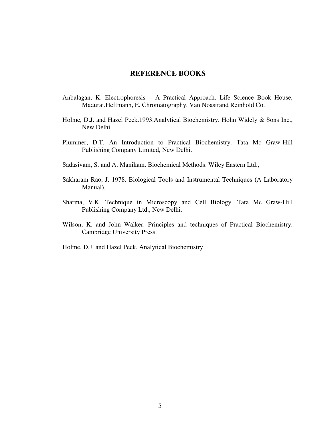- Anbalagan, K. Electrophoresis A Practical Approach. Life Science Book House, Madurai.Heftmann, E. Chromatography. Van Noastrand Reinhold Co.
- Holme, D.J. and Hazel Peck.1993.Analytical Biochemistry. Hohn Widely & Sons Inc., New Delhi.
- Plummer, D.T. An Introduction to Practical Biochemistry. Tata Mc Graw-Hill Publishing Company Limited, New Delhi.
- Sadasivam, S. and A. Manikam. Biochemical Methods. Wiley Eastern Ltd.,
- Sakharam Rao, J. 1978. Biological Tools and Instrumental Techniques (A Laboratory Manual).
- Sharma, V.K. Technique in Microscopy and Cell Biology. Tata Mc Graw-Hill Publishing Company Ltd., New Delhi.
- Wilson, K. and John Walker. Principles and techniques of Practical Biochemistry. Cambridge University Press.
- Holme, D.J. and Hazel Peck. Analytical Biochemistry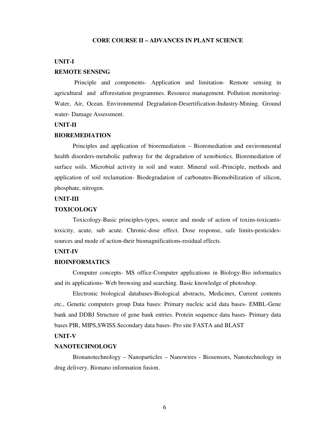#### **CORE COURSE II – ADVANCES IN PLANT SCIENCE**

#### **UNIT-I**

#### **REMOTE SENSING**

 Principle and components- Application and limitation- Remote sensing in agricultural and afforestation programmes. Resource management. Pollution monitoring-Water, Air, Ocean. Environmental Degradation-Desertification-Industry-Mining. Ground water- Damage Assessment.

#### **UNIT-II**

#### **BIOREMEDIATION**

Principles and application of bioremediation – Bioremediation and environmental health disorders-metabolic pathway for the degradation of xenobiotics. Bioremediation of surface soils. Microbial activity in soil and water. Mineral soil.-Principle, methods and application of soil reclamation- Biodegradation of carbonates-Biomobilization of silicon, phosphate, nitrogen.

#### **UNIT-III**

#### **TOXICOLOGY**

Toxicology-Basic principles-types, source and mode of action of toxins-toxicantstoxicity, acute, sub acute. Chronic-dose effect. Dose response, safe limits-pesticidessources and mode of action-their biomagnifications-residual effects.

#### **UNIT-IV**

#### **BIOINFORMATICS**

Computer concepts- MS office-Computer applications in Biology-Bio informatics and its applications- Web browsing and searching. Basic knowledge of photoshop.

Electronic biological databases-Biological abstracts, Medicines, Current contents etc., Genetic computers group Data bases: Primary nucleic acid data bases- EMBL-Gene bank and DDBJ Structure of gene bank entries. Protein sequence data bases- Primary data bases PIR, MIPS,SWISS.Secondary data bases- Pro site FASTA and BLAST

#### **UNIT-V**

#### **NANOTECHNOLOGY**

 Bionanotechnology – Nanoparticles – Nanowires - Biosensors, Nanotechnology in drug delivery. Bionano information fusion.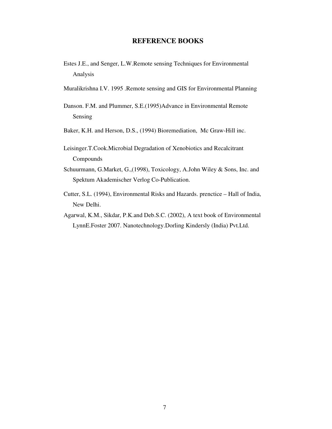- Estes J.E., and Senger, L.W.Remote sensing Techniques for Environmental Analysis
- Muralikrishna I.V. 1995 .Remote sensing and GIS for Environmental Planning
- Danson. F.M. and Plummer, S.E.(1995)Advance in Environmental Remote Sensing
- Baker, K.H. and Herson, D.S., (1994) Bioremediation, Mc Graw-Hill inc.
- Leisinger.T.Cook.Microbial Degradation of Xenobiotics and Recalcitrant Compounds
- Schuurmann, G.Market, G.,(1998), Toxicology, A.John Wiley & Sons, Inc. and Spektum Akademischer Verlog Co-Publication.
- Cutter, S.L. (1994), Environmental Risks and Hazards. prenctice Hall of India, New Delhi.
- Agarwal, K.M., Sikdar, P.K.and Deb.S.C. (2002), A text book of Environmental LynnE.Foster 2007. Nanotechnology.Dorling Kindersly (India) Pvt.Ltd.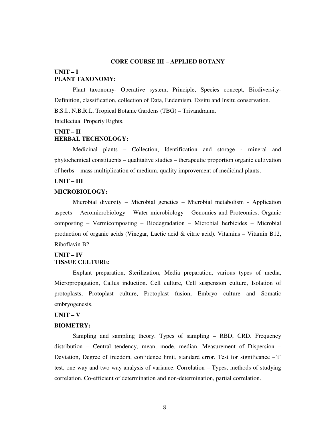#### **CORE COURSE III – APPLIED BOTANY**

#### **UNIT – I PLANT TAXONOMY:**

Plant taxonomy- Operative system, Principle, Species concept, Biodiversity-Definition, classification, collection of Data, Endemism, Exsitu and Insitu conservation. B.S.I., N.B.R.I., Tropical Botanic Gardens (TBG) – Trivandraum.

Intellectual Property Rights.

#### **UNIT – II HERBAL TECHNOLOGY:**

Medicinal plants – Collection, Identification and storage - mineral and phytochemical constituents – qualitative studies – therapeutic proportion organic cultivation of herbs – mass multiplication of medium, quality improvement of medicinal plants.

#### **UNIT – III**

#### **MICROBIOLOGY:**

 Microbial diversity – Microbial genetics – Microbial metabolism - Application aspects – Aeromicrobiology – Water microbiology – Genomics and Proteomics. Organic composting – Vermicomposting – Biodegradation – Microbial herbicides – Microbial production of organic acids (Vinegar, Lactic acid & citric acid). Vitamins – Vitamin B12, Riboflavin B2.

#### **UNIT – IV TISSUE CULTURE:**

Explant preparation, Sterilization, Media preparation, various types of media, Micropropagation, Callus induction. Cell culture, Cell suspension culture, Isolation of protoplasts, Protoplast culture, Protoplast fusion, Embryo culture and Somatic embryogenesis.

#### **UNIT – V**

#### **BIOMETRY:**

Sampling and sampling theory. Types of sampling – RBD, CRD. Frequency distribution – Central tendency, mean, mode, median. Measurement of Dispersion – Deviation, Degree of freedom, confidence limit, standard error. Test for significance –'t' test, one way and two way analysis of variance. Correlation – Types, methods of studying correlation. Co-efficient of determination and non-determination, partial correlation.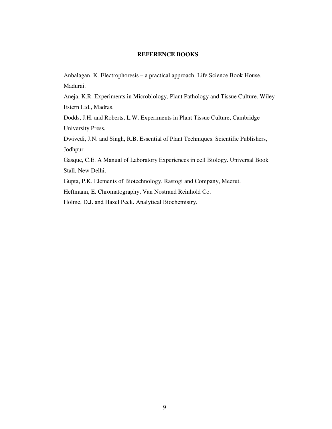Anbalagan, K. Electrophoresis – a practical approach. Life Science Book House, Madurai.

Aneja, K.R. Experiments in Microbiology, Plant Pathology and Tissue Culture. Wiley Estern Ltd., Madras.

Dodds, J.H. and Roberts, L.W. Experiments in Plant Tissue Culture, Cambridge University Press.

Dwivedi, J.N. and Singh, R.B. Essential of Plant Techniques. Scientific Publishers, Jodhpur.

Gasque, C.E. A Manual of Laboratory Experiences in cell Biology. Universal Book Stall, New Delhi.

Gupta, P.K. Elements of Biotechnology. Rastogi and Company, Meerut.

Heftmann, E. Chromatography, Van Nostrand Reinhold Co.

Holme, D.J. and Hazel Peck. Analytical Biochemistry.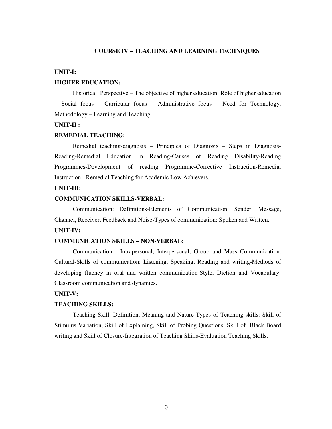#### **COURSE IV – TEACHING AND LEARNING TECHNIQUES**

#### **UNIT-I:**

#### **HIGHER EDUCATION:**

Historical Perspective – The objective of higher education. Role of higher education – Social focus – Curricular focus – Administrative focus – Need for Technology. Methodology – Learning and Teaching.

#### **UNIT-II :**

#### **REMEDIAL TEACHING:**

Remedial teaching-diagnosis – Principles of Diagnosis – Steps in Diagnosis-Reading-Remedial Education in Reading-Causes of Reading Disability-Reading Programmes-Development of reading Programme-Corrective Instruction-Remedial Instruction - Remedial Teaching for Academic Low Achievers.

#### **UNIT-III:**

#### **COMMUNICATION SKILLS-VERBAL:**

Communication: Definitions-Elements of Communication: Sender, Message, Channel, Receiver, Feedback and Noise-Types of communication: Spoken and Written. **UNIT-IV:** 

#### **COMMUNICATION SKILLS – NON-VERBAL:**

Communication - Intrapersonal, Interpersonal, Group and Mass Communication. Cultural-Skills of communication: Listening, Speaking, Reading and writing-Methods of developing fluency in oral and written communication-Style, Diction and Vocabulary-Classroom communication and dynamics.

#### **UNIT-V:**

#### **TEACHING SKILLS:**

Teaching Skill: Definition, Meaning and Nature-Types of Teaching skills: Skill of Stimulus Variation, Skill of Explaining, Skill of Probing Questions, Skill of Black Board writing and Skill of Closure-Integration of Teaching Skills-Evaluation Teaching Skills.